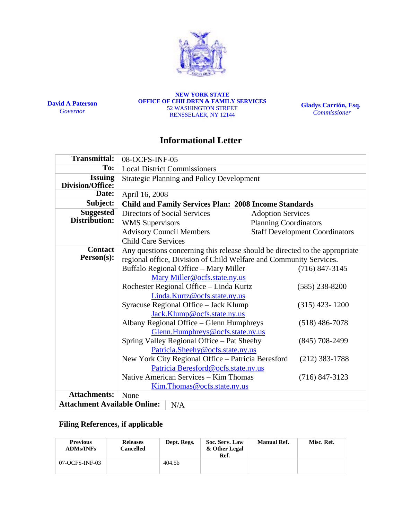

**David A Paterson**  *Governor* 

**NEW YORK STATE OFFICE OF CHILDREN & FAMILY SERVICES**  52 WASHINGTON STREET RENSSELAER, NY 12144

**Gladys Carrión, Esq.**   *Commissioner*

# **Informational Letter**

| <b>Transmittal:</b>                        | 08-OCFS-INF-05                                                              |                                       |  |  |
|--------------------------------------------|-----------------------------------------------------------------------------|---------------------------------------|--|--|
| To:                                        | <b>Local District Commissioners</b>                                         |                                       |  |  |
| <b>Issuing</b><br>Division/Office:         | <b>Strategic Planning and Policy Development</b>                            |                                       |  |  |
| Date:                                      | April 16, 2008                                                              |                                       |  |  |
| Subject:                                   | <b>Child and Family Services Plan: 2008 Income Standards</b>                |                                       |  |  |
| <b>Suggested</b>                           | Directors of Social Services<br><b>Adoption Services</b>                    |                                       |  |  |
| Distribution:                              | <b>Planning Coordinators</b><br><b>WMS</b> Supervisors                      |                                       |  |  |
|                                            | <b>Advisory Council Members</b>                                             | <b>Staff Development Coordinators</b> |  |  |
|                                            | <b>Child Care Services</b>                                                  |                                       |  |  |
| <b>Contact</b>                             | Any questions concerning this release should be directed to the appropriate |                                       |  |  |
| Person(s):                                 | regional office, Division of Child Welfare and Community Services.          |                                       |  |  |
|                                            | Buffalo Regional Office - Mary Miller                                       | $(716)$ 847-3145                      |  |  |
|                                            | Mary Miller@ocfs.state.ny.us                                                |                                       |  |  |
|                                            | Rochester Regional Office - Linda Kurtz                                     | $(585)$ 238-8200                      |  |  |
|                                            | Linda.Kurtz@ocfs.state.ny.us                                                |                                       |  |  |
|                                            | Syracuse Regional Office - Jack Klump                                       | $(315)$ 423-1200                      |  |  |
|                                            | Jack.Klump@ocfs.state.ny.us                                                 |                                       |  |  |
|                                            | Albany Regional Office - Glenn Humphreys<br>$(518)$ 486-7078                |                                       |  |  |
|                                            | Glenn.Humphreys@ocfs.state.ny.us                                            |                                       |  |  |
|                                            | Spring Valley Regional Office – Pat Sheehy                                  | $(845)$ 708-2499                      |  |  |
|                                            | Patricia.Sheehy@ocfs.state.ny.us                                            |                                       |  |  |
|                                            | New York City Regional Office - Patricia Beresford                          | $(212)$ 383-1788                      |  |  |
|                                            | Patricia Beresford@ocfs.state.ny.us                                         |                                       |  |  |
|                                            | Native American Services – Kim Thomas                                       | $(716)$ 847-3123                      |  |  |
|                                            | Kim. Thomas @ ocfs.state.ny.us                                              |                                       |  |  |
| <b>Attachments:</b>                        | None                                                                        |                                       |  |  |
| <b>Attachment Available Online:</b><br>N/A |                                                                             |                                       |  |  |

# **Filing References, if applicable**

| <b>Previous</b><br><b>ADMs/INFs</b> | <b>Releases</b><br>Cancelled | Dept. Regs. | Soc. Serv. Law<br>& Other Legal<br>Ref. | <b>Manual Ref.</b> | Misc. Ref. |
|-------------------------------------|------------------------------|-------------|-----------------------------------------|--------------------|------------|
| 07-OCFS-INF-03                      |                              | 404.5b      |                                         |                    |            |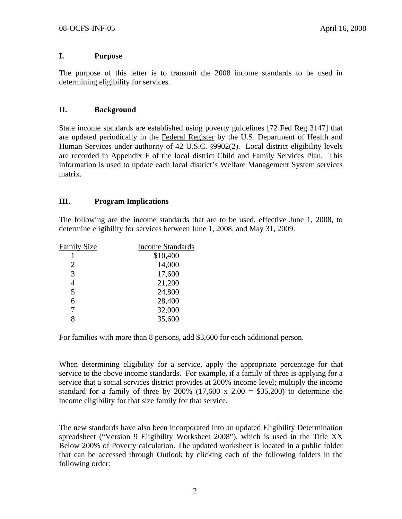### **I. Purpose**

The purpose of this letter is to transmit the 2008 income standards to be used in determining eligibility for services.

### **II. Background**

State income standards are established using poverty guidelines [72 Fed Reg 3147] that are updated periodically in the Federal Register by the U.S. Department of Health and Human Services under authority of 42 U.S.C. §9902(2). Local district eligibility levels are recorded in Appendix F of the local district Child and Family Services Plan. This information is used to update each local district's Welfare Management System services matrix.

#### **III. Program Implications**

The following are the income standards that are to be used, effective June 1, 2008, to determine eligibility for services between June 1, 2008, and May 31, 2009.

| <b>Family Size</b> | <b>Income Standards</b> |
|--------------------|-------------------------|
|                    | \$10,400                |
| 2                  | 14,000                  |
| 3                  | 17,600                  |
| 4                  | 21,200                  |
| 5                  | 24,800                  |
| 6                  | 28,400                  |
|                    | 32,000                  |
|                    | 35,600                  |

For families with more than 8 persons, add \$3,600 for each additional person.

When determining eligibility for a service, apply the appropriate percentage for that service to the above income standards. For example, if a family of three is applying for a service that a social services district provides at 200% income level; multiply the income standard for a family of three by  $200\%$  (17,600 x 2.00 = \$35,200) to determine the income eligibility for that size family for that service.

The new standards have also been incorporated into an updated Eligibility Determination spreadsheet ("Version 9 Eligibility Worksheet 2008"), which is used in the Title XX Below 200% of Poverty calculation. The updated worksheet is located in a public folder that can be accessed through Outlook by clicking each of the following folders in the following order: